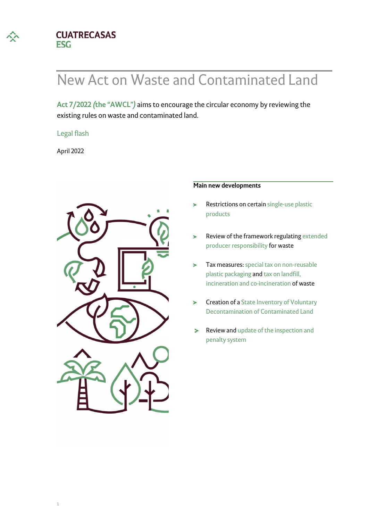

#### **CUATRECASAS ESG**

# New Act on Waste and Contaminated Land

**[Act 7/2022](https://boe.es/boe/dias/2022/04/09/pdfs/BOE-A-2022-5809.pdf)** *(***[the "AWCL"](https://boe.es/boe/dias/2022/04/09/pdfs/BOE-A-2022-5809.pdf)***)* aims to encourage the circular economy by reviewing the existing rules on waste and contaminated land.

#### Legal flash

April 2022



#### **Main new developments**

- Restrictions on certain single-use plastic  $\geq$ products
- Review of the framework regulating extended  $\geq$ producer responsibility for waste
- Tax measures: special tax on non-reusable  $\blacktriangleright$ plastic packaging and tax on landfill, incineration and co-incineration of waste
- Creation of a State Inventory of Voluntary  $\mathbf{r}$ Decontamination of Contaminated Land
- Review and update of the inspection and  $\geq$ penalty system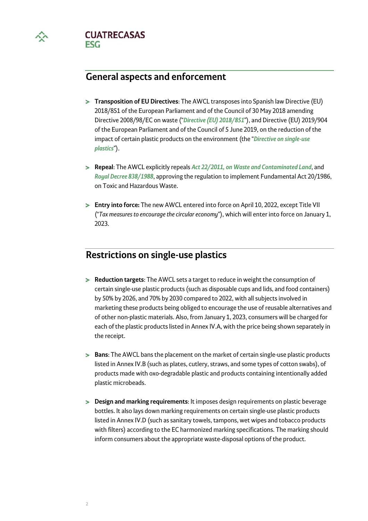

**CUATRECASAS ESG** 

## **General aspects and enforcement**

- **Transposition of EU Directives**: The AWCL transposes into Spanish law Directive (EU) 2018/851 of the European Parliament and of the Council of 30 May 2018 amending Directive 2008/98/EC on waste ("*[Directive \(EU\) 2018/851](https://eur-lex.europa.eu/legal-content/ES/TXT/PDF/?uri=CELEX:32018L0851&from=ES)*"), and Directive (EU) 2019/904 of the European Parliament and of the Council of 5 June 2019, on the reduction of the impact of certain plastic products on the environment (the "*[Directive on single-use](https://eur-lex.europa.eu/legal-content/ES/TXT/PDF/?uri=CELEX:32019L0904&from=ES)  [plastics](https://eur-lex.europa.eu/legal-content/ES/TXT/PDF/?uri=CELEX:32019L0904&from=ES)*").
- **Repeal**: The AWCL explicitly repeals *[Act 22/2011, on Waste and Contaminated Land](https://www.boe.es/eli/es/l/2011/07/28/22/con)*, and *[Royal Decree 838/1988](https://www.boe.es/eli/es/rd/1988/07/20/833)*, approving the regulation to implement Fundamental Act 20/1986, on Toxic and Hazardous Waste.
- **Entry into force:** The new AWCL entered into force on April 10, 2022, except Title VII ("*Tax measures to encourage the circular economy*"), which will enter into force on January 1, 2023.

## **Restrictions on single-use plastics**

- **Reduction targets**: The AWCL sets a target to reduce in weight the consumption of certain single-use plastic products (such as disposable cups and lids, and food containers) by 50% by 2026, and 70% by 2030 compared to 2022, with all subjects involved in marketing these products being obliged to encourage the use of reusable alternatives and of other non-plastic materials. Also, from January 1, 2023, consumers will be charged for each of the plastic products listed in Annex IV.A, with the price being shown separately in the receipt.
- **Bans**: The AWCL bans the placement on the market of certain single-use plastic products listed in Annex IV.B (such as plates, cutlery, straws, and some types of cotton swabs), of products made with oxo-degradable plastic and products containing intentionally added plastic microbeads.
- **Design and marking requirements**: It imposes design requirements on plastic beverage bottles. It also lays down marking requirements on certain single-use plastic products listed in Annex IV.D (such as sanitary towels, tampons, wet wipes and tobacco products with filters) according to the EC harmonized marking specifications. The marking should inform consumers about the appropriate waste-disposal options of the product.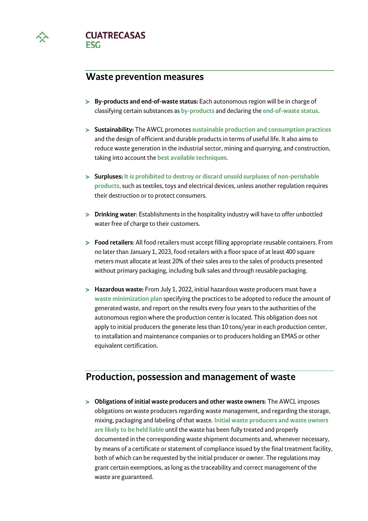

**CUATRECASAS FSG** 

### **Waste prevention measures**

- **By-products and end-of-waste status:** Each autonomous region will be in charge of classifying certain substances as **by-products** and declaring the **end-of-waste status**.
- **Sustainability:** The AWCL promotes **sustainable production and consumption practices** and the design of efficient and durable products in terms of useful life. It also aims to reduce waste generation in the industrial sector, mining and quarrying, and construction, taking into account the **best available techniques.**
- **Surpluses: It is prohibited to destroy or discard unsold surpluses of non-perishable products,** such as textiles, toys and electrical devices, unless another regulation requires their destruction or to protect consumers.
- **Drinking water**: Establishments in the hospitality industry will have to offer unbottled water free of charge to their customers.
- **Food retailers**: All food retailers must accept filling appropriate reusable containers. From no later than January 1, 2023, food retailers with a floor space of at least 400 square meters must allocate at least 20% of their sales area to the sales of products presented without primary packaging, including bulk sales and through reusable packaging.
- **Hazardous waste:** From July 1, 2022, initial hazardous waste producers must have a **waste minimization plan** specifying the practices to be adopted to reduce the amount of generated waste, and report on the results every four years to the authorities of the autonomous region where the production center is located. This obligation does not apply to initial producers the generate less than 10 tons/year in each production center, to installation and maintenance companies or to producers holding an EMAS or other equivalent certification.

## **Production, possession and management of waste**

**Obligations of initial waste producers and other waste owners**: The AWCL imposes obligations on waste producers regarding waste management, and regarding the storage, mixing, packaging and labeling of that waste. **Initial waste producers and waste owners are likely to be held liable** until the waste has been fully treated and properly documented in the corresponding waste shipment documents and, whenever necessary, by means of a certificate or statement of compliance issued by the final treatment facility, both of which can be requested by the initial producer or owner. The regulations may grant certain exemptions, as long as the traceability and correct management of the waste are guaranteed.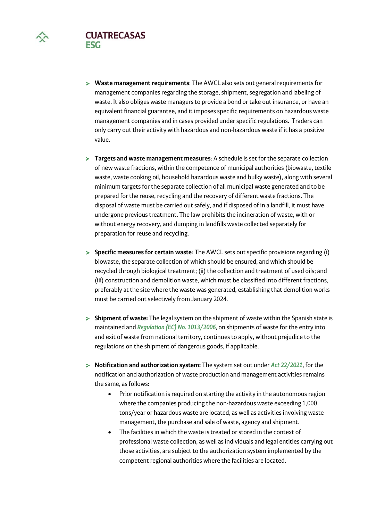



- **Targets and waste management measures**: A schedule is set for the separate collection of new waste fractions, within the competence of municipal authorities (biowaste, textile waste, waste cooking oil, household hazardous waste and bulky waste), along with several minimum targets for the separate collection of all municipal waste generated and to be prepared for the reuse, recycling and the recovery of different waste fractions. The disposal of waste must be carried out safely, and if disposed of in a landfill, it must have undergone previous treatment. The law prohibits the incineration of waste, with or without energy recovery, and dumping in landfills waste collected separately for preparation for reuse and recycling.
- **Specific measures for certain waste**: The AWCL sets out specific provisions regarding (i) biowaste, the separate collection of which should be ensured, and which should be recycled through biological treatment; (ii) the collection and treatment of used oils; and (iii) construction and demolition waste, which must be classified into different fractions, preferably at the site where the waste was generated, establishing that demolition works must be carried out selectively from January 2024.
- **Shipment of waste:** The legal system on the shipment of waste within the Spanish state is maintained and *[Regulation \(EC\) No. 1013/2006](http://data.europa.eu/eli/reg/2006/1013/oj)*, on shipments of waste for the entry into and exit of waste from national territory, continues to apply, without prejudice to the regulations on the shipment of dangerous goods, if applicable.
- **Notification and authorization system:** The system set out under *[Act 22/2021](https://www.boe.es/eli/es/l/2011/07/28/22/con)*, for the notification and authorization of waste production and management activities remains the same, as follows:
	- Prior notification is required on starting the activity in the autonomous region where the companies producing the non-hazardous waste exceeding 1,000 tons/year or hazardous waste are located, as well as activities involving waste management, the purchase and sale of waste, agency and shipment.
	- The facilities in which the waste is treated or stored in the context of professional waste collection, as well as individuals and legal entities carrying out those activities, are subject to the authorization system implemented by the competent regional authorities where the facilities are located.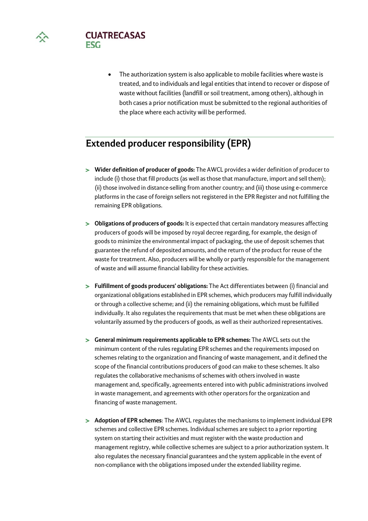



• The authorization system is also applicable to mobile facilities where waste is treated, and to individuals and legal entities that intend to recover or dispose of waste without facilities (landfill or soil treatment, among others), although in both cases a prior notification must be submitted to the regional authorities of the place where each activity will be performed.

# **Extended producer responsibility (EPR)**

- **Wider definition of producer of goods:** The AWCL provides a wider definition of producer to include (i) those that fill products (as well as those that manufacture, import and sell them); (ii) those involved in distance-selling from another country; and (iii) those using e-commerce platforms in the case of foreign sellers not registered in the EPR Register and not fulfilling the remaining EPR obligations.
- **>** Obligations of producers of goods: It is expected that certain mandatory measures affecting producers of goods will be imposed by royal decree regarding, for example, the design of goods to minimize the environmental impact of packaging, the use of deposit schemes that guarantee the refund of deposited amounts, and the return of the product for reuse of the waste for treatment. Also, producers will be wholly or partly responsible for the management of waste and will assume financial liability for these activities.
- **Fulfillment of goods producers' obligations:** The Act differentiates between (i) financial and organizational obligations established in EPR schemes, which producers may fulfill individually or through a collective scheme; and (ii) the remaining obligations, which must be fulfilled individually. It also regulates the requirements that must be met when these obligations are voluntarily assumed by the producers of goods, as well as their authorized representatives.
- **General minimum requirements applicable to EPR schemes:** The AWCL sets out the minimum content of the rules regulating EPR schemes and the requirements imposed on schemes relating to the organization and financing of waste management, and it defined the scope of the financial contributions producers of good can make to these schemes. It also regulates the collaborative mechanisms of schemes with others involved in waste management and, specifically, agreements entered into with public administrations involved in waste management, and agreements with other operators for the organization and financing of waste management.
- **Adoption of EPR schemes**: The AWCL regulates the mechanisms to implement individual EPR schemes and collective EPR schemes. Individual schemes are subject to a prior reporting system on starting their activities and must register with the waste production and management registry, while collective schemes are subject to a prior authorization system. It also regulates the necessary financial guarantees and the system applicable in the event of non-compliance with the obligations imposed under the extended liability regime.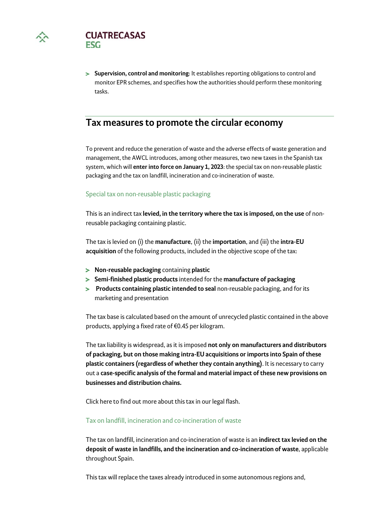



**Supervision, control and monitoring**: It establishes reporting obligations to control and monitor EPR schemes, and specifies how the authorities should perform these monitoring tasks.

## **Tax measures to promote the circular economy**

To prevent and reduce the generation of waste and the adverse effects of waste generation and management, the AWCL introduces, among other measures, two new taxes in the Spanish tax system, which will **enter into force on January 1, 2023**: the special tax on non-reusable plastic packaging and the tax on landfill, incineration and co-incineration of waste.

#### Special tax on non-reusable plastic packaging

This is an indirect tax **levied, in the territory where the tax is imposed, on the use** of nonreusable packaging containing plastic.

The tax is levied on (i) the **manufacture**, (ii) the **importation**, and (iii) the **intra-EU acquisition** of the following products, included in the objective scope of the tax:

- **Non-reusable packaging** containing **plastic**
- **Semi-finished plastic products** intended for the **manufacture of packaging**
- **Products containing plastic intended to seal** non-reusable packaging, and for its marketing and presentation

The tax base is calculated based on the amount of unrecycled plastic contained in the above products, applying a fixed rate of €0.45 per kilogram.

The tax liability is widespread, as it is imposed **not only on manufacturers and distributors of packaging, but on those making intra-EU acquisitions or imports into Spain of these plastic containers (regardless of whether they contain anything)**. It is necessary to carry out a **case-specific analysis of the formal and material impact of these new provisions on businesses and distribution chains.** 

Click here to find out more about this tax in our legal flash.

#### Tax on landfill, incineration and co-incineration of waste

The tax on landfill, incineration and co-incineration of waste is an **indirect tax levied on the deposit of waste in landfills, and the incineration and co-incineration of waste**, applicable throughout Spain.

This tax will replace the taxes already introduced in some autonomous regions and,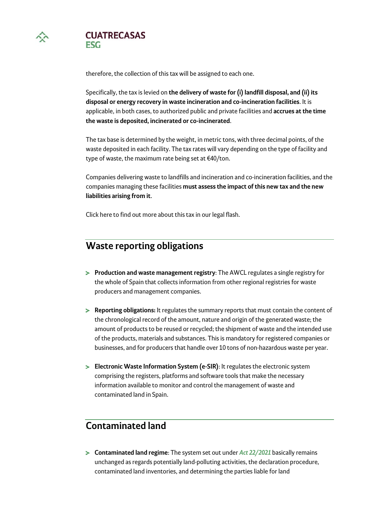

**CUATRECASAS FSG** 

therefore, the collection of this tax will be assigned to each one.

Specifically, the tax is levied on **the delivery of waste for (i) landfill disposal, and (ii) its disposal or energy recovery in waste incineration and co-incineration facilities**. It is applicable, in both cases, to authorized public and private facilities and **accrues at the time the waste is deposited, incinerated or co-incinerated**.

The tax base is determined by the weight, in metric tons, with three decimal points, of the waste deposited in each facility. The tax rates will vary depending on the type of facility and type of waste, the maximum rate being set at €40/ton.

Companies delivering waste to landfills and incineration and co-incineration facilities, and the companies managing these facilities **must assess the impact of this new tax and the new liabilities arising from it**.

Click here to find out more about this tax in our legal flash.

## **Waste reporting obligations**

- **Production and waste management registry**: The AWCL regulates a single registry for the whole of Spain that collects information from other regional registries for waste producers and management companies.
- **Reporting obligations:** It regulates the summary reports that must contain the content of the chronological record of the amount, nature and origin of the generated waste; the amount of products to be reused or recycled; the shipment of waste and the intended use of the products, materials and substances. This is mandatory for registered companies or businesses, and for producers that handle over 10 tons of non-hazardous waste per year.
- **Electronic Waste Information System (e-SIR)**: It regulates the electronic system comprising the registers, platforms and software tools that make the necessary information available to monitor and control the management of waste and contaminated land in Spain.

## **Contaminated land**

**Contaminated land regime**: The system set out under *[Act 22/2021](https://www.boe.es/eli/es/l/2011/07/28/22/con)* basically remains unchanged as regards potentially land-polluting activities, the declaration procedure, contaminated land inventories, and determining the parties liable for land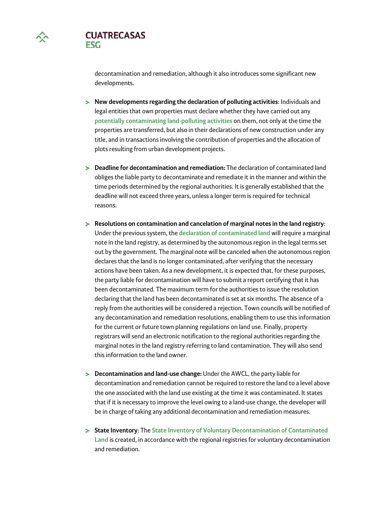

**CUATRECASAS FSG** 

> decontamination and remediation, although it also introduces some significant new developments.

- **New developments regarding the declaration of polluting activities**: Individuals and legal entities that own properties must declare whether they have carried out any **potentially contaminating land-polluting activities** on them, not only at the time the properties are transferred, but also in their declarations of new construction under any title, and in transactions involving the contribution of properties and the allocation of plots resulting from urban development projects.
- **Deadline for decontamination and remediation:** The declaration of contaminated land obliges the liable party to decontaminate and remediate it in the manner and within the time periods determined by the regional authorities. It is generally established that the deadline will not exceed three years, unless a longer term is required for technical reasons.
- **Resolutions on contamination and cancelation of marginal notes in the land registry**: Under the previous system, the **declaration of contaminated land** will require a marginal note in the land registry, as determined by the autonomous region in the legal terms set out by the government. The marginal note will be canceled when the autonomous region declares that the land is no longer contaminated, after verifying that the necessary actions have been taken. As a new development, it is expected that, for these purposes, the party liable for decontamination will have to submit a report certifying that it has been decontaminated. The maximum term for the authorities to issue the resolution declaring that the land has been decontaminated is set at six months. The absence of a reply from the authorities will be considered a rejection. Town councils will be notified of any decontamination and remediation resolutions, enabling them to use this information for the current or future town planning regulations on land use. Finally, property registrars will send an electronic notification to the regional authorities regarding the marginal notes in the land registry referring to land contamination. They will also send this information to the land owner.
- **Decontamination and land-use change:** Under the AWCL, the party liable for decontamination and remediation cannot be required to restore the land to a level above the one associated with the land use existing at the time it was contaminated. It states that if it is necessary to improve the level owing to a land-use change, the developer will be in charge of taking any additional decontamination and remediation measures.
- **State Inventory**: The **State Inventory of Voluntary Decontamination of Contaminated Land** is created, in accordance with the regional registries for voluntary decontamination and remediation.